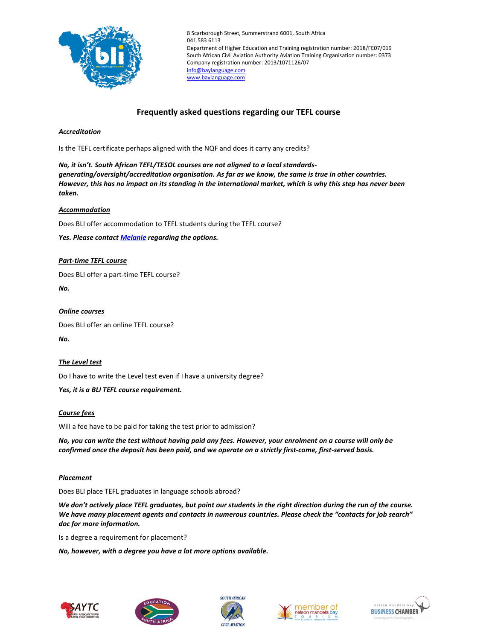

8 Scarborough Street, Summerstrand 6001, South Africa 041 583 6113 Department of Higher Education and Training registration number: 2018/FE07/019 South African Civil Aviation Authority Aviation Training Organisation number: 0373 Company registration number: 2013/1071126/07 info@baylanguage.com www.baylanguage.com

# Frequently asked questions regarding our TEFL course

## Accreditation

Is the TEFL certificate perhaps aligned with the NQF and does it carry any credits?

No, it isn't. South African TEFL/TESOL courses are not aligned to a local standardsgenerating/oversight/accreditation organisation. As far as we know, the same is true in other countries. However, this has no impact on its standing in the international market, which is why this step has never been taken.

#### **Accommodation**

Does BLI offer accommodation to TEFL students during the TEFL course?

Yes. Please contact **Melanie** regarding the options.

#### Part-time TEFL course

Does BLI offer a part-time TEFL course?

No.

#### Online courses

Does BLI offer an online TEFL course?

No.

#### The Level test

Do I have to write the Level test even if I have a university degree?

#### Yes, it is a BLI TEFL course requirement.

#### Course fees

Will a fee have to be paid for taking the test prior to admission?

No, you can write the test without having paid any fees. However, your enrolment on a course will only be confirmed once the deposit has been paid, and we operate on a strictly first-come, first-served basis.

#### Placement

Does BLI place TEFL graduates in language schools abroad?

We don't actively place TEFL graduates, but point our students in the right direction during the run of the course. We have many placement agents and contacts in numerous countries. Please check the "contacts for job search" doc for more information.

Is a degree a requirement for placement?

No, however, with a degree you have a lot more options available.